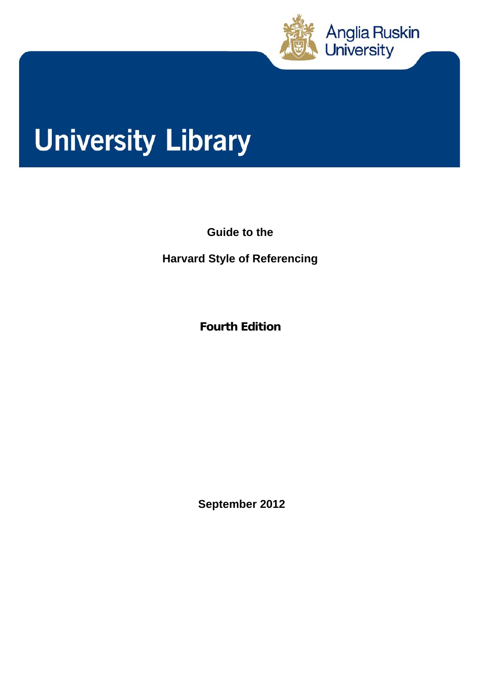

# **University Library**

**Guide to the** 

**Harvard Style of Referencing** 

**Fourth Edition** 

 **September 2012**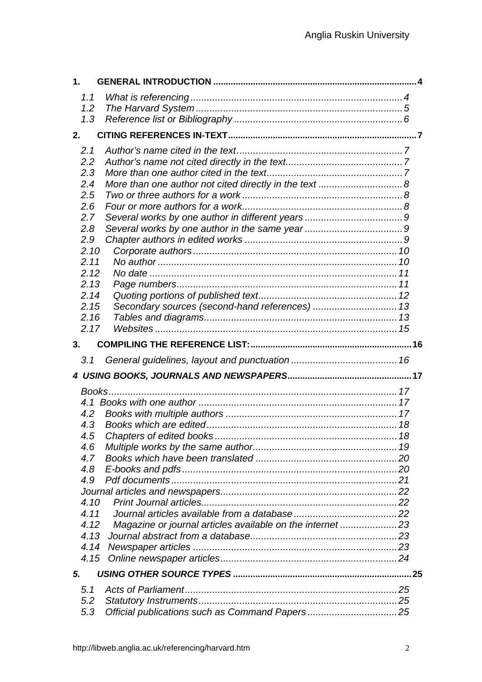| 1 <sub>1</sub> |                                                           |  |
|----------------|-----------------------------------------------------------|--|
| 1.1            |                                                           |  |
| 1.2            |                                                           |  |
| 1.3            |                                                           |  |
| 2.             |                                                           |  |
|                |                                                           |  |
| 2.1            |                                                           |  |
| 2.2            |                                                           |  |
| 2.3            |                                                           |  |
| 2.4            |                                                           |  |
| 2.5            |                                                           |  |
| 2.6            |                                                           |  |
| 2.7            |                                                           |  |
| 2.8            |                                                           |  |
| 2.9            |                                                           |  |
| 2.10           |                                                           |  |
| 2.11           |                                                           |  |
| 2.12           |                                                           |  |
| 2.13           |                                                           |  |
| 2.14<br>2.15   |                                                           |  |
| 2.16           | Secondary sources (second-hand references)  13            |  |
| 2.17           |                                                           |  |
|                |                                                           |  |
| 3.             |                                                           |  |
|                |                                                           |  |
| 3.1            |                                                           |  |
|                |                                                           |  |
|                |                                                           |  |
|                |                                                           |  |
|                |                                                           |  |
| 4.2            |                                                           |  |
| 4.3            |                                                           |  |
| 4.5            |                                                           |  |
| 4.6            |                                                           |  |
| 4.7            |                                                           |  |
| 4.8            |                                                           |  |
| 4.9            |                                                           |  |
| 4.10           |                                                           |  |
| 4.11           |                                                           |  |
| 4.12           |                                                           |  |
| 4.13           | Magazine or journal articles available on the internet 23 |  |
| 4.14           |                                                           |  |
| 4.15           |                                                           |  |
|                |                                                           |  |
| 5.             |                                                           |  |
| 5.1            |                                                           |  |
| 5.2<br>5.3     |                                                           |  |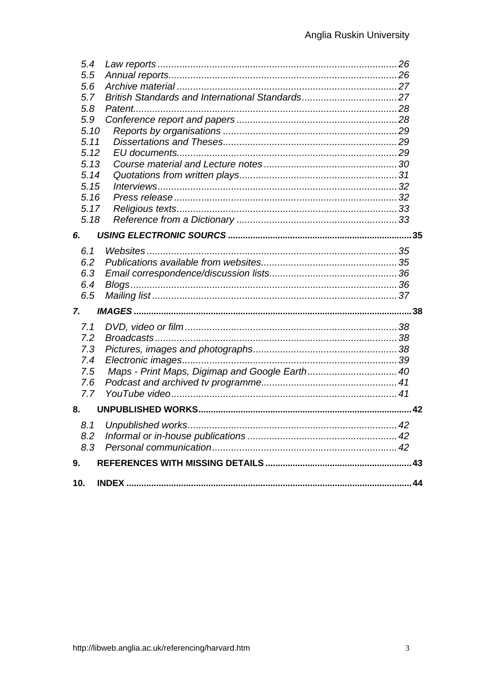| 5.4  |  |
|------|--|
| 5.5  |  |
| 5.6  |  |
| 5.7  |  |
| 5.8  |  |
| 5.9  |  |
| 5.10 |  |
| 5.11 |  |
| 5.12 |  |
| 5.13 |  |
| 5.14 |  |
| 5.15 |  |
| 5.16 |  |
| 5.17 |  |
| 5.18 |  |
| 6.   |  |
| 6.1  |  |
| 6.2  |  |
| 6.3  |  |
| 6.4  |  |
| 6.5  |  |
|      |  |
| 7.   |  |
| 7.1  |  |
| 7.2  |  |
| 7.3  |  |
| 7.4  |  |
| 7.5  |  |
| 7.6  |  |
| 7.7  |  |
| 8.   |  |
| 8.1  |  |
| 8.2  |  |
| 8.3  |  |
| 9.   |  |
|      |  |
| 10.  |  |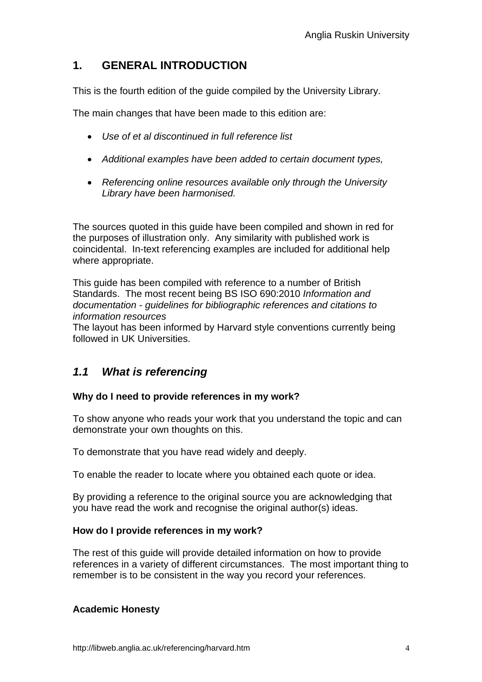# **1. GENERAL INTRODUCTION**

This is the fourth edition of the guide compiled by the University Library.

The main changes that have been made to this edition are:

- *Use of et al discontinued in full reference list*
- *Additional examples have been added to certain document types,*
- *Referencing online resources available only through the University Library have been harmonised.*

The sources quoted in this guide have been compiled and shown in red for the purposes of illustration only. Any similarity with published work is coincidental. In-text referencing examples are included for additional help where appropriate.

This guide has been compiled with reference to a number of British Standards. The most recent being BS ISO 690:2010 *Information and documentation* - *guidelines for bibliographic references and citations to information resources*

The layout has been informed by Harvard style conventions currently being followed in UK Universities.

## *1.1 What is referencing*

#### **Why do I need to provide references in my work?**

To show anyone who reads your work that you understand the topic and can demonstrate your own thoughts on this.

To demonstrate that you have read widely and deeply.

To enable the reader to locate where you obtained each quote or idea.

By providing a reference to the original source you are acknowledging that you have read the work and recognise the original author(s) ideas.

#### **How do I provide references in my work?**

The rest of this guide will provide detailed information on how to provide references in a variety of different circumstances. The most important thing to remember is to be consistent in the way you record your references.

#### **Academic Honesty**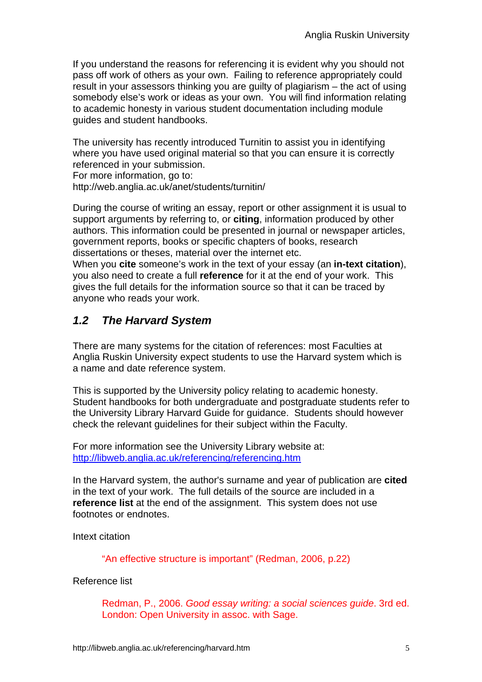If you understand the reasons for referencing it is evident why you should not pass off work of others as your own. Failing to reference appropriately could result in your assessors thinking you are guilty of plagiarism – the act of using somebody else's work or ideas as your own. You will find information relating to academic honesty in various student documentation including module guides and student handbooks.

The university has recently introduced Turnitin to assist you in identifying where you have used original material so that you can ensure it is correctly referenced in your submission.

For more information, go to:

http://web.anglia.ac.uk/anet/students/turnitin/

During the course of writing an essay, report or other assignment it is usual to support arguments by referring to, or **citing**, information produced by other authors. This information could be presented in journal or newspaper articles, government reports, books or specific chapters of books, research dissertations or theses, material over the internet etc.

When you **cite** someone's work in the text of your essay (an **in-text citation**), you also need to create a full **reference** for it at the end of your work. This gives the full details for the information source so that it can be traced by anyone who reads your work.

# *1.2 The Harvard System*

There are many systems for the citation of references: most Faculties at Anglia Ruskin University expect students to use the Harvard system which is a name and date reference system.

This is supported by the University policy relating to academic honesty. Student handbooks for both undergraduate and postgraduate students refer to the University Library Harvard Guide for guidance. Students should however check the relevant guidelines for their subject within the Faculty.

For more information see the University Library website at: http://libweb.anglia.ac.uk/referencing/referencing.htm

In the Harvard system, the author's surname and year of publication are **cited** in the text of your work. The full details of the source are included in a **reference list** at the end of the assignment. This system does not use footnotes or endnotes.

Intext citation

"An effective structure is important" (Redman, 2006, p.22)

#### Reference list

Redman, P., 2006. *Good essay writing: a social sciences guide*. 3rd ed. London: Open University in assoc. with Sage.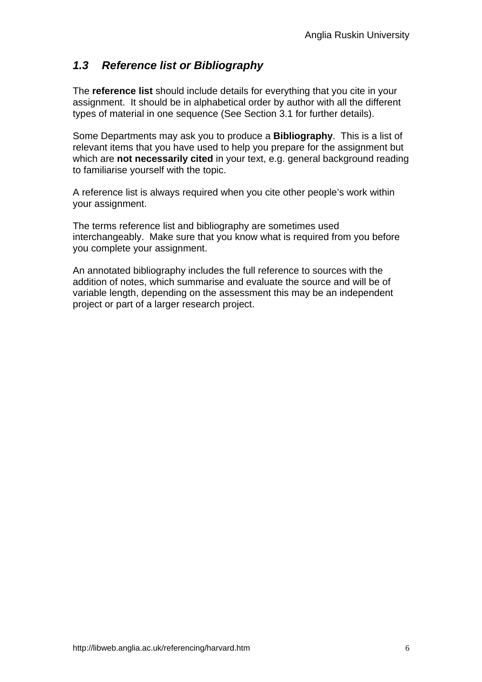# *1.3 Reference list or Bibliography*

The **reference list** should include details for everything that you cite in your assignment. It should be in alphabetical order by author with all the different types of material in one sequence (See Section 3.1 for further details).

Some Departments may ask you to produce a **Bibliography**. This is a list of relevant items that you have used to help you prepare for the assignment but which are **not necessarily cited** in your text, e.g. general background reading to familiarise yourself with the topic.

A reference list is always required when you cite other people's work within your assignment.

The terms reference list and bibliography are sometimes used interchangeably. Make sure that you know what is required from you before you complete your assignment.

An annotated bibliography includes the full reference to sources with the addition of notes, which summarise and evaluate the source and will be of variable length, depending on the assessment this may be an independent project or part of a larger research project.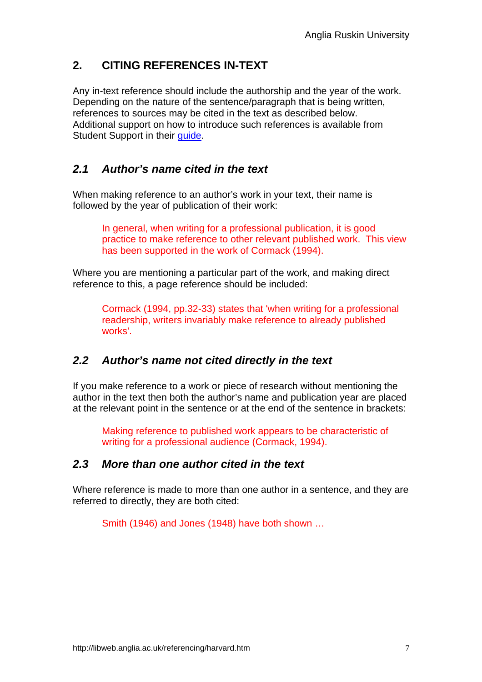# **2. CITING REFERENCES IN-TEXT**

Any in-text reference should include the authorship and the year of the work. Depending on the nature of the sentence/paragraph that is being written, references to sources may be cited in the text as described below. Additional support on how to introduce such references is available from Student Support in their quide.

#### *2.1 Author's name cited in the text*

When making reference to an author's work in your text, their name is followed by the year of publication of their work:

In general, when writing for a professional publication, it is good practice to make reference to other relevant published work. This view has been supported in the work of Cormack (1994).

Where you are mentioning a particular part of the work, and making direct reference to this, a page reference should be included:

Cormack (1994, pp.32-33) states that 'when writing for a professional readership, writers invariably make reference to already published works'.

## *2.2 Author's name not cited directly in the text*

If you make reference to a work or piece of research without mentioning the author in the text then both the author's name and publication year are placed at the relevant point in the sentence or at the end of the sentence in brackets:

Making reference to published work appears to be characteristic of writing for a professional audience (Cormack, 1994).

#### *2.3 More than one author cited in the text*

Where reference is made to more than one author in a sentence, and they are referred to directly, they are both cited:

Smith (1946) and Jones (1948) have both shown …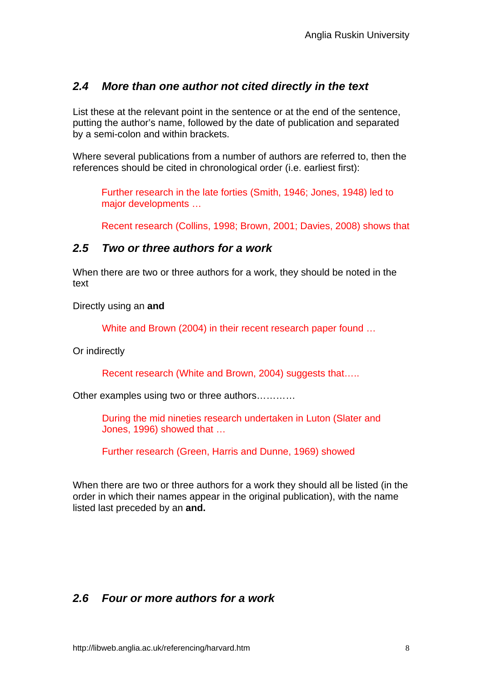## *2.4 More than one author not cited directly in the text*

List these at the relevant point in the sentence or at the end of the sentence, putting the author's name, followed by the date of publication and separated by a semi-colon and within brackets.

Where several publications from a number of authors are referred to, then the references should be cited in chronological order (i.e. earliest first):

Further research in the late forties (Smith, 1946; Jones, 1948) led to major developments …

Recent research (Collins, 1998; Brown, 2001; Davies, 2008) shows that

#### *2.5 Two or three authors for a work*

When there are two or three authors for a work, they should be noted in the text

Directly using an **and** 

White and Brown (2004) in their recent research paper found …

Or indirectly

Recent research (White and Brown, 2004) suggests that…..

Other examples using two or three authors…………

During the mid nineties research undertaken in Luton (Slater and Jones, 1996) showed that …

Further research (Green, Harris and Dunne, 1969) showed

When there are two or three authors for a work they should all be listed (in the order in which their names appear in the original publication), with the name listed last preceded by an **and.** 

## *2.6 Four or more authors for a work*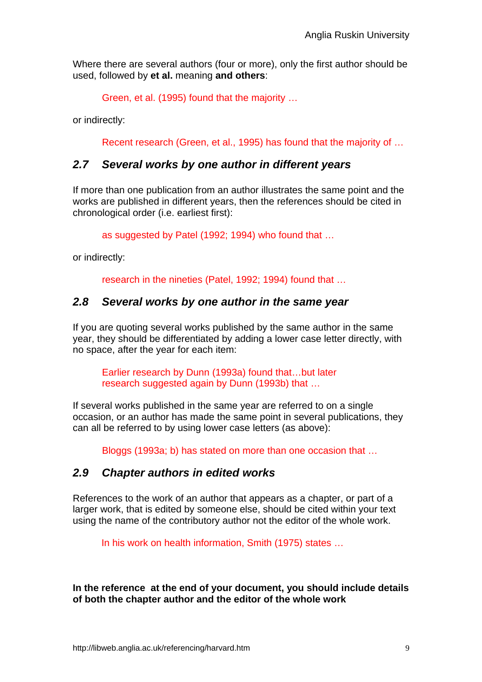Where there are several authors (four or more), only the first author should be used, followed by **et al.** meaning **and others**:

Green, et al. (1995) found that the majority …

or indirectly:

Recent research (Green, et al., 1995) has found that the majority of …

#### *2.7 Several works by one author in different years*

If more than one publication from an author illustrates the same point and the works are published in different years, then the references should be cited in chronological order (i.e. earliest first):

as suggested by Patel (1992; 1994) who found that …

or indirectly:

research in the nineties (Patel, 1992; 1994) found that …

#### *2.8 Several works by one author in the same year*

If you are quoting several works published by the same author in the same year, they should be differentiated by adding a lower case letter directly, with no space, after the year for each item:

Earlier research by Dunn (1993a) found that…but later research suggested again by Dunn (1993b) that …

If several works published in the same year are referred to on a single occasion, or an author has made the same point in several publications, they can all be referred to by using lower case letters (as above):

Bloggs (1993a; b) has stated on more than one occasion that …

#### *2.9 Chapter authors in edited works*

References to the work of an author that appears as a chapter, or part of a larger work, that is edited by someone else, should be cited within your text using the name of the contributory author not the editor of the whole work.

In his work on health information, Smith (1975) states …

**In the reference at the end of your document, you should include details of both the chapter author and the editor of the whole work**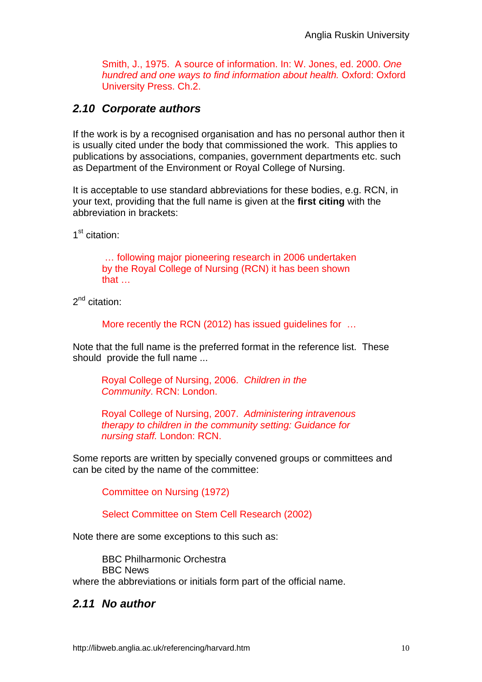Smith, J., 1975. A source of information. In: W. Jones, ed. 2000. *One hundred and one ways to find information about health.* Oxford: Oxford University Press. Ch.2.

# *2.10 Corporate authors*

If the work is by a recognised organisation and has no personal author then it is usually cited under the body that commissioned the work. This applies to publications by associations, companies, government departments etc. such as Department of the Environment or Royal College of Nursing.

It is acceptable to use standard abbreviations for these bodies, e.g. RCN, in your text, providing that the full name is given at the **first citing** with the abbreviation in brackets:

1<sup>st</sup> citation:

 … following major pioneering research in 2006 undertaken by the Royal College of Nursing (RCN) it has been shown that …

 $2^{nd}$  citation:

More recently the RCN (2012) has issued guidelines for …

Note that the full name is the preferred format in the reference list. These should provide the full name ...

Royal College of Nursing, 2006. *Children in the Community*. RCN: London.

Royal College of Nursing, 2007. *Administering intravenous therapy to children in the community setting: Guidance for nursing staff.* London: RCN.

Some reports are written by specially convened groups or committees and can be cited by the name of the committee:

Committee on Nursing (1972)

Select Committee on Stem Cell Research (2002)

Note there are some exceptions to this such as:

BBC Philharmonic Orchestra BBC News where the abbreviations or initials form part of the official name.

# *2.11 No author*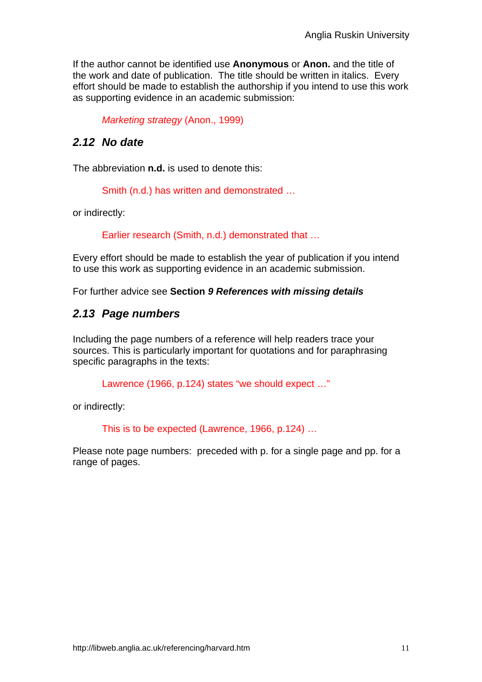If the author cannot be identified use **Anonymous** or **Anon.** and the title of the work and date of publication. The title should be written in italics. Every effort should be made to establish the authorship if you intend to use this work as supporting evidence in an academic submission:

*Marketing strategy* (Anon., 1999)

## *2.12 No date*

The abbreviation **n.d.** is used to denote this:

Smith (n.d.) has written and demonstrated …

or indirectly:

Earlier research (Smith, n.d.) demonstrated that …

Every effort should be made to establish the year of publication if you intend to use this work as supporting evidence in an academic submission.

For further advice see **Section** *9 References with missing details* 

#### *2.13 Page numbers*

Including the page numbers of a reference will help readers trace your sources. This is particularly important for quotations and for paraphrasing specific paragraphs in the texts:

Lawrence (1966, p.124) states "we should expect …"

or indirectly:

This is to be expected (Lawrence, 1966, p.124) …

Please note page numbers: preceded with p. for a single page and pp. for a range of pages.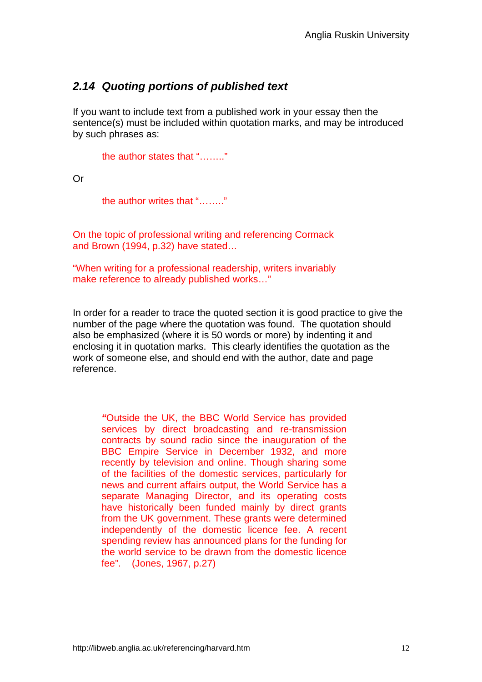# *2.14 Quoting portions of published text*

If you want to include text from a published work in your essay then the sentence(s) must be included within quotation marks, and may be introduced by such phrases as:

the author states that "…….."

Or

the author writes that "…….."

On the topic of professional writing and referencing Cormack and Brown (1994, p.32) have stated…

"When writing for a professional readership, writers invariably make reference to already published works…"

In order for a reader to trace the quoted section it is good practice to give the number of the page where the quotation was found. The quotation should also be emphasized (where it is 50 words or more) by indenting it and enclosing it in quotation marks. This clearly identifies the quotation as the work of someone else, and should end with the author, date and page reference.

*"*Outside the UK, the BBC World Service has provided services by direct broadcasting and re-transmission contracts by sound radio since the inauguration of the BBC Empire Service in December 1932, and more recently by television and online. Though sharing some of the facilities of the domestic services, particularly for news and current affairs output, the World Service has a separate Managing Director, and its operating costs have historically been funded mainly by direct grants from the UK government. These grants were determined independently of the domestic licence fee. A recent spending review has announced plans for the funding for the world service to be drawn from the domestic licence fee". (Jones, 1967, p.27)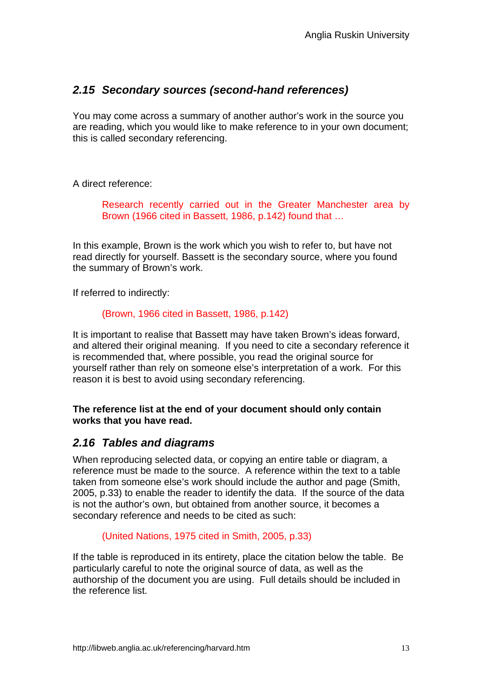# *2.15 Secondary sources (second-hand references)*

You may come across a summary of another author's work in the source you are reading, which you would like to make reference to in your own document; this is called secondary referencing.

A direct reference:

Research recently carried out in the Greater Manchester area by Brown (1966 cited in Bassett, 1986, p.142) found that …

In this example, Brown is the work which you wish to refer to, but have not read directly for yourself. Bassett is the secondary source, where you found the summary of Brown's work.

If referred to indirectly:

#### (Brown, 1966 cited in Bassett, 1986, p.142)

It is important to realise that Bassett may have taken Brown's ideas forward, and altered their original meaning. If you need to cite a secondary reference it is recommended that, where possible, you read the original source for yourself rather than rely on someone else's interpretation of a work. For this reason it is best to avoid using secondary referencing.

#### **The reference list at the end of your document should only contain works that you have read.**

#### *2.16 Tables and diagrams*

When reproducing selected data, or copying an entire table or diagram, a reference must be made to the source. A reference within the text to a table taken from someone else's work should include the author and page (Smith, 2005, p.33) to enable the reader to identify the data. If the source of the data is not the author's own, but obtained from another source, it becomes a secondary reference and needs to be cited as such:

#### (United Nations, 1975 cited in Smith, 2005, p.33)

If the table is reproduced in its entirety, place the citation below the table. Be particularly careful to note the original source of data, as well as the authorship of the document you are using. Full details should be included in the reference list.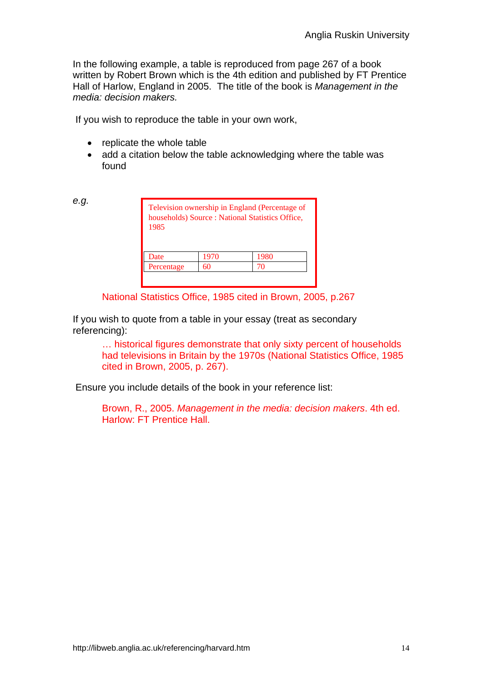In the following example, a table is reproduced from page 267 of a book written by Robert Brown which is the 4th edition and published by FT Prentice Hall of Harlow, England in 2005. The title of the book is *Management in the media: decision makers.* 

If you wish to reproduce the table in your own work,

- replicate the whole table
- add a citation below the table acknowledging where the table was found

*e.g.* 

| 1985       |      | Television ownership in England (Percentage of<br>households) Source : National Statistics Office, |  |
|------------|------|----------------------------------------------------------------------------------------------------|--|
| Date       | 1970 | 1980                                                                                               |  |
| Percentage | 60   | 70                                                                                                 |  |

National Statistics Office, 1985 cited in Brown, 2005, p.267

If you wish to quote from a table in your essay (treat as secondary referencing):

> … historical figures demonstrate that only sixty percent of households had televisions in Britain by the 1970s (National Statistics Office, 1985 cited in Brown, 2005, p. 267).

Ensure you include details of the book in your reference list:

Brown, R., 2005. *Management in the media: decision makers*. 4th ed. Harlow: FT Prentice Hall.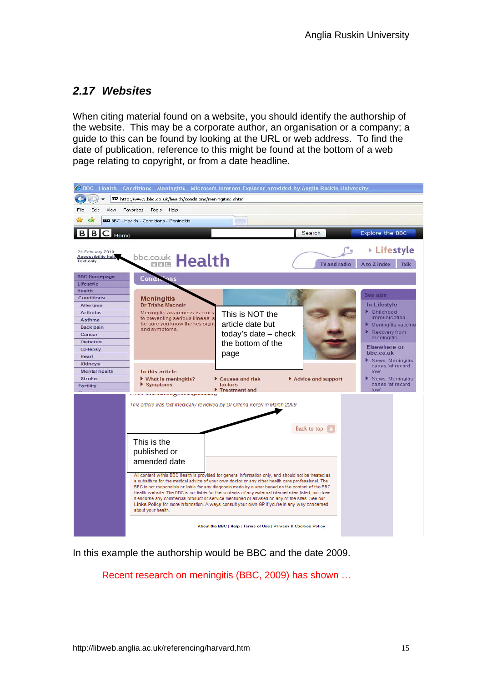## *2.17 Websites*

When citing material found on a website, you should identify the authorship of the website. This may be a corporate author, an organisation or a company; a guide to this can be found by looking at the URL or web address. To find the date of publication, reference to this might be found at the bottom of a web page relating to copyright, or from a date headline.



In this example the authorship would be BBC and the date 2009.

Recent research on meningitis (BBC, 2009) has shown …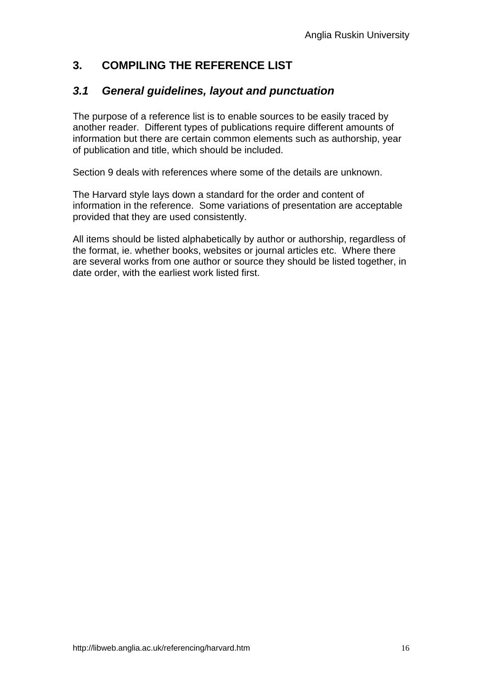# **3. COMPILING THE REFERENCE LIST**

## *3.1 General guidelines, layout and punctuation*

The purpose of a reference list is to enable sources to be easily traced by another reader. Different types of publications require different amounts of information but there are certain common elements such as authorship, year of publication and title, which should be included.

Section 9 deals with references where some of the details are unknown.

The Harvard style lays down a standard for the order and content of information in the reference. Some variations of presentation are acceptable provided that they are used consistently.

All items should be listed alphabetically by author or authorship, regardless of the format, ie. whether books, websites or journal articles etc. Where there are several works from one author or source they should be listed together, in date order, with the earliest work listed first.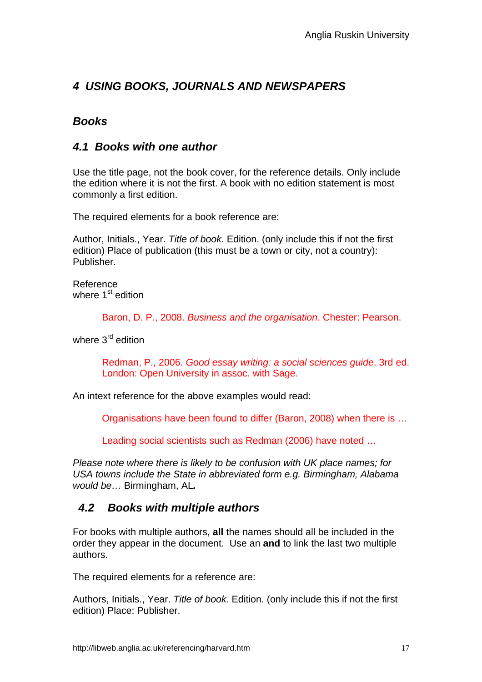# *4 USING BOOKS, JOURNALS AND NEWSPAPERS*

# *Books*

#### *4.1 Books with one author*

Use the title page, not the book cover, for the reference details. Only include the edition where it is not the first. A book with no edition statement is most commonly a first edition.

The required elements for a book reference are:

Author, Initials., Year. *Title of book.* Edition. (only include this if not the first edition) Place of publication (this must be a town or city, not a country): Publisher.

Reference where 1<sup>st</sup> edition

Baron, D. P., 2008. *Business and the organisation*. Chester: Pearson.

where  $3<sup>rd</sup>$  edition

Redman, P., 2006. *Good essay writing: a social sciences guide*. 3rd ed. London: Open University in assoc. with Sage.

An intext reference for the above examples would read:

Organisations have been found to differ (Baron, 2008) when there is …

Leading social scientists such as Redman (2006) have noted …

*Please note where there is likely to be confusion with UK place names; for USA towns include the State in abbreviated form e.g. Birmingham, Alabama would be…* Birmingham, AL*.*

## *4.2 Books with multiple authors*

For books with multiple authors, **all** the names should all be included in the order they appear in the document. Use an **and** to link the last two multiple authors.

The required elements for a reference are:

Authors, Initials., Year. *Title of book.* Edition. (only include this if not the first edition) Place: Publisher.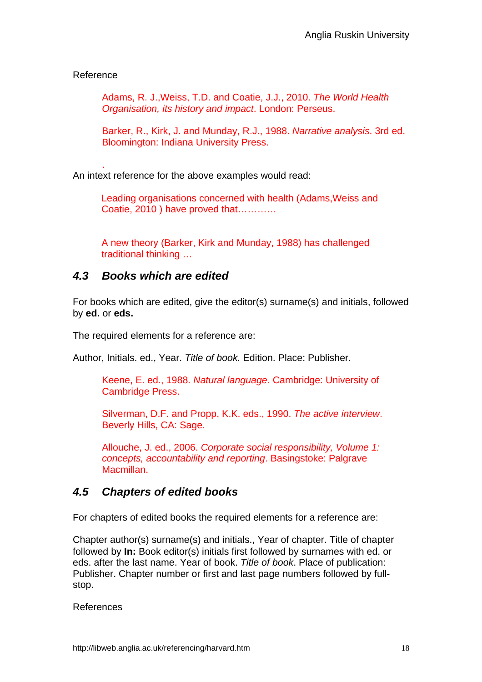#### Reference

Adams, R. J.,Weiss, T.D. and Coatie, J.J., 2010. *The World Health Organisation, its history and impact*. London: Perseus.

Barker, R., Kirk, J. and Munday, R.J., 1988. *Narrative analysis*. 3rd ed. Bloomington: Indiana University Press.

. An intext reference for the above examples would read:

> Leading organisations concerned with health (Adams,Weiss and Coatie, 2010 ) have proved that…………

A new theory (Barker, Kirk and Munday, 1988) has challenged traditional thinking …

#### *4.3 Books which are edited*

For books which are edited, give the editor(s) surname(s) and initials, followed by **ed.** or **eds.**

The required elements for a reference are:

Author, Initials. ed., Year. *Title of book.* Edition. Place: Publisher.

Keene, E. ed., 1988. *Natural language.* Cambridge: University of Cambridge Press.

Silverman, D.F. and Propp, K.K. eds., 1990. *The active interview*. Beverly Hills, CA: Sage.

Allouche, J. ed., 2006. *Corporate social responsibility, Volume 1: concepts, accountability and reporting*. Basingstoke: Palgrave Macmillan.

#### *4.5 Chapters of edited books*

For chapters of edited books the required elements for a reference are:

Chapter author(s) surname(s) and initials., Year of chapter. Title of chapter followed by **In:** Book editor(s) initials first followed by surnames with ed. or eds. after the last name. Year of book. *Title of book*. Place of publication: Publisher. Chapter number or first and last page numbers followed by fullstop.

References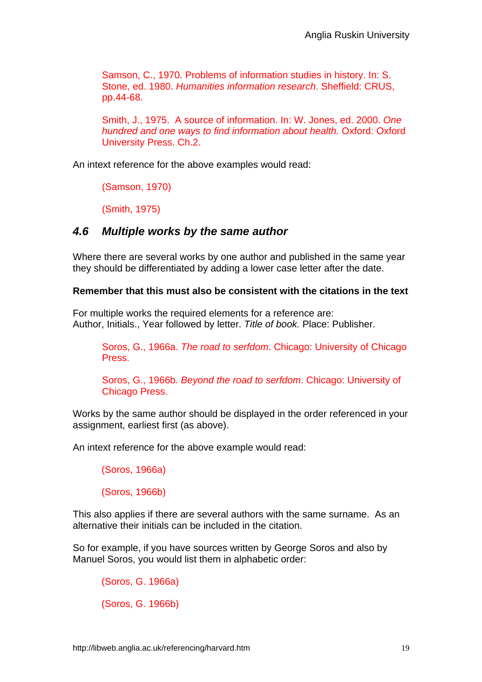Samson, C., 1970. Problems of information studies in history. In: S. Stone, ed. 1980. *Humanities information research*. Sheffield: CRUS, pp.44-68.

Smith, J., 1975. A source of information. In: W. Jones, ed. 2000. *One hundred and one ways to find information about health.* Oxford: Oxford University Press. Ch.2.

An intext reference for the above examples would read:

(Samson, 1970)

(Smith, 1975)

#### *4.6 Multiple works by the same author*

Where there are several works by one author and published in the same year they should be differentiated by adding a lower case letter after the date.

#### **Remember that this must also be consistent with the citations in the text**

For multiple works the required elements for a reference are: Author, Initials., Year followed by letter. *Title of book.* Place: Publisher.

Soros, G., 1966a. *The road to serfdom*. Chicago: University of Chicago Press.

Soros, G., 1966b*. Beyond the road to serfdom*. Chicago: University of Chicago Press.

Works by the same author should be displayed in the order referenced in your assignment, earliest first (as above).

An intext reference for the above example would read:

(Soros, 1966a)

(Soros, 1966b)

This also applies if there are several authors with the same surname. As an alternative their initials can be included in the citation.

So for example, if you have sources written by George Soros and also by Manuel Soros, you would list them in alphabetic order:

(Soros, G. 1966a) (Soros, G. 1966b)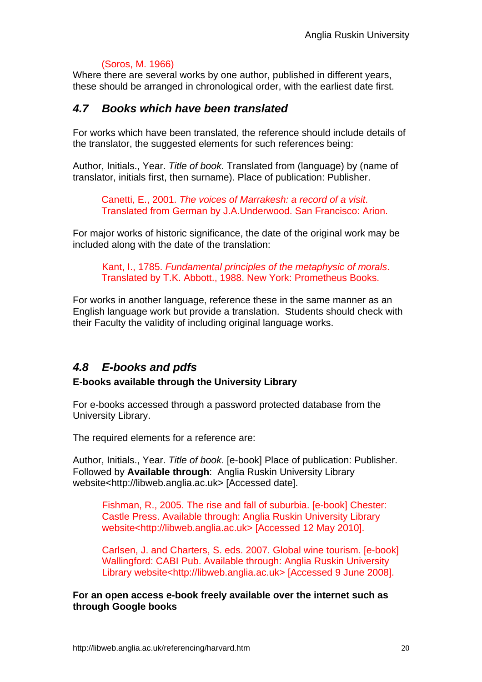#### (Soros, M. 1966)

Where there are several works by one author, published in different years, these should be arranged in chronological order, with the earliest date first.

#### *4.7 Books which have been translated*

For works which have been translated, the reference should include details of the translator, the suggested elements for such references being:

Author, Initials., Year. *Title of book*. Translated from (language) by (name of translator, initials first, then surname). Place of publication: Publisher.

Canetti, E., 2001. *The voices of Marrakesh: a record of a visit*. Translated from German by J.A.Underwood. San Francisco: Arion.

For major works of historic significance, the date of the original work may be included along with the date of the translation:

Kant, I., 1785. *Fundamental principles of the metaphysic of morals*. Translated by T.K. Abbott., 1988. New York: Prometheus Books.

For works in another language, reference these in the same manner as an English language work but provide a translation. Students should check with their Faculty the validity of including original language works.

## *4.8 E-books and pdfs*

#### **E-books available through the University Library**

For e-books accessed through a password protected database from the University Library.

The required elements for a reference are:

Author, Initials., Year. *Title of book*. [e-book] Place of publication: Publisher. Followed by **Available through**: Anglia Ruskin University Library website<http://libweb.anglia.ac.uk> [Accessed date].

Fishman, R., 2005. The rise and fall of suburbia. [e-book] Chester: Castle Press. Available through: Anglia Ruskin University Library website<http://libweb.anglia.ac.uk> [Accessed 12 May 2010].

Carlsen, J. and Charters, S. eds. 2007. Global wine tourism. [e-book] Wallingford: CABI Pub. Available through: Anglia Ruskin University Library website<http://libweb.anglia.ac.uk> [Accessed 9 June 2008].

**For an open access e-book freely available over the internet such as through Google books**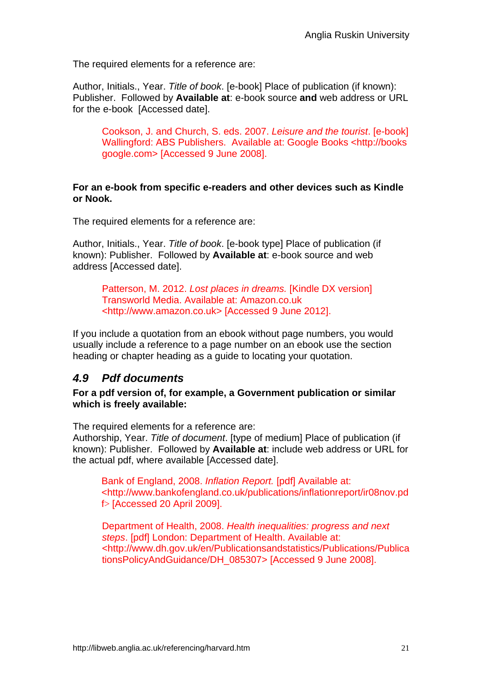The required elements for a reference are:

Author, Initials., Year. *Title of book*. [e-book] Place of publication (if known): Publisher. Followed by **Available at**: e-book source **and** web address or URL for the e-book [Accessed date].

Cookson, J. and Church, S. eds. 2007. *Leisure and the tourist*. [e-book] Wallingford: ABS Publishers. Available at: Google Books <http://books google.com> [Accessed 9 June 2008].

#### **For an e-book from specific e-readers and other devices such as Kindle or Nook.**

The required elements for a reference are:

Author, Initials., Year. *Title of book*. [e-book type] Place of publication (if known): Publisher. Followed by **Available at**: e-book source and web address [Accessed date].

Patterson, M. 2012. *Lost places in dreams.* [Kindle DX version] Transworld Media. Available at: Amazon.co.uk <http://www.amazon.co.uk> [Accessed 9 June 2012].

If you include a quotation from an ebook without page numbers, you would usually include a reference to a page number on an ebook use the section heading or chapter heading as a guide to locating your quotation.

## *4.9 Pdf documents*

#### **For a pdf version of, for example, a Government publication or similar which is freely available:**

The required elements for a reference are:

Authorship, Year. *Title of document*. [type of medium] Place of publication (if known): Publisher. Followed by **Available at**: include web address or URL for the actual pdf, where available [Accessed date].

Bank of England, 2008. *Inflation Report.* [pdf] Available at: <http://www.bankofengland.co.uk/publications/inflationreport/ir08nov.pd f> [Accessed 20 April 2009].

Department of Health, 2008. *Health inequalities: progress and next steps*. [pdf] London: Department of Health. Available at: <http://www.dh.gov.uk/en/Publicationsandstatistics/Publications/Publica tionsPolicyAndGuidance/DH\_085307> [Accessed 9 June 2008].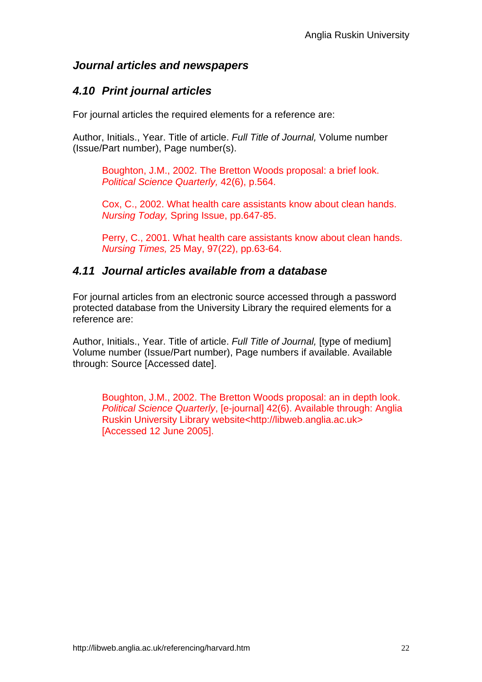## *Journal articles and newspapers*

# *4.10 Print journal articles*

For journal articles the required elements for a reference are:

Author, Initials., Year. Title of article. *Full Title of Journal,* Volume number (Issue/Part number), Page number(s).

Boughton, J.M., 2002. The Bretton Woods proposal: a brief look. *Political Science Quarterly,* 42(6), p.564.

Cox, C., 2002. What health care assistants know about clean hands. *Nursing Today,* Spring Issue, pp.647-85.

Perry, C., 2001. What health care assistants know about clean hands. *Nursing Times,* 25 May, 97(22), pp.63-64.

#### *4.11 Journal articles available from a database*

For journal articles from an electronic source accessed through a password protected database from the University Library the required elements for a reference are:

Author, Initials., Year. Title of article. *Full Title of Journal,* [type of medium] Volume number (Issue/Part number), Page numbers if available. Available through: Source [Accessed date].

Boughton, J.M., 2002. The Bretton Woods proposal: an in depth look. *Political Science Quarterly*, [e-journal] 42(6). Available through: Anglia Ruskin University Library website<http://libweb.anglia.ac.uk> [Accessed 12 June 2005].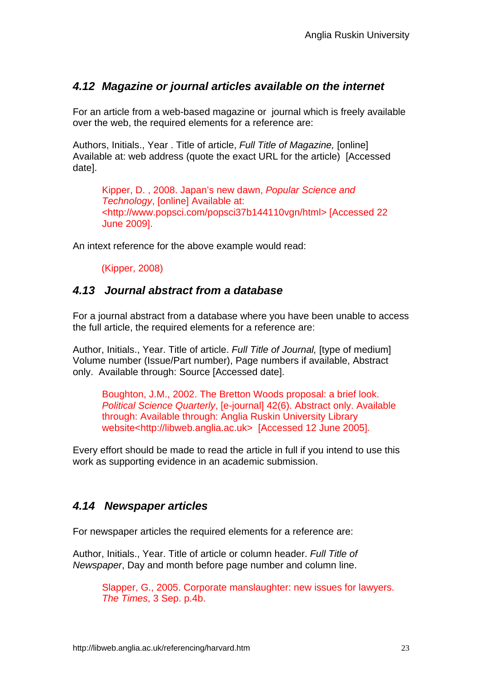#### *4.12 Magazine or journal articles available on the internet*

For an article from a web-based magazine or journal which is freely available over the web, the required elements for a reference are:

Authors, Initials., Year . Title of article, *Full Title of Magazine,* [online] Available at: web address (quote the exact URL for the article) [Accessed date].

Kipper, D. , 2008. Japan's new dawn, *Popular Science and Technology*, [online] Available at: <http://www.popsci.com/popsci37b144110vgn/html> [Accessed 22 June 2009].

An intext reference for the above example would read:

(Kipper, 2008)

#### *4.13 Journal abstract from a database*

For a journal abstract from a database where you have been unable to access the full article, the required elements for a reference are:

Author, Initials., Year. Title of article. *Full Title of Journal,* [type of medium] Volume number (Issue/Part number), Page numbers if available, Abstract only. Available through: Source [Accessed date].

Boughton, J.M., 2002. The Bretton Woods proposal: a brief look. *Political Science Quarterly*, [e-journal] 42(6). Abstract only. Available through: Available through: Anglia Ruskin University Library website<http://libweb.anglia.ac.uk> [Accessed 12 June 2005].

Every effort should be made to read the article in full if you intend to use this work as supporting evidence in an academic submission.

## *4.14 Newspaper articles*

For newspaper articles the required elements for a reference are:

Author, Initials., Year. Title of article or column header. *Full Title of Newspaper*, Day and month before page number and column line.

> Slapper, G., 2005. Corporate manslaughter: new issues for lawyers. *The Times*, 3 Sep. p.4b.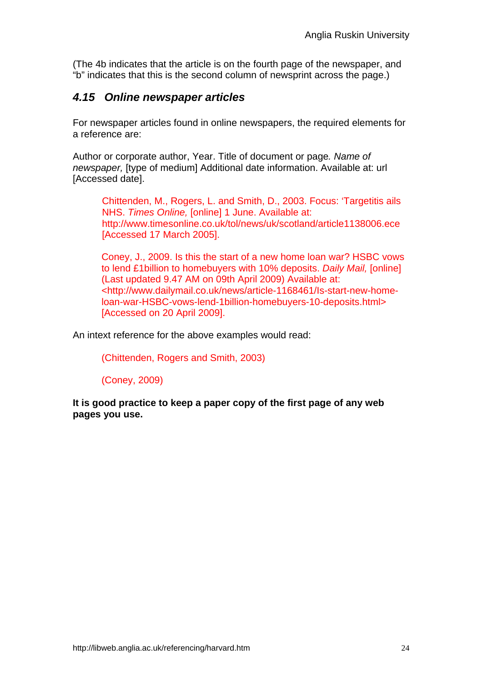(The 4b indicates that the article is on the fourth page of the newspaper, and "b" indicates that this is the second column of newsprint across the page.)

# *4.15 Online newspaper articles*

For newspaper articles found in online newspapers, the required elements for a reference are:

Author or corporate author, Year. Title of document or page*. Name of newspaper,* [type of medium] Additional date information. Available at: url [Accessed date].

Chittenden, M., Rogers, L. and Smith, D., 2003. Focus: 'Targetitis ails NHS. *Times Online,* [online] 1 June. Available at: http://www.timesonline.co.uk/tol/news/uk/scotland/article1138006.ece [Accessed 17 March 2005].

Coney, J., 2009. Is this the start of a new home loan war? HSBC vows to lend £1billion to homebuyers with 10% deposits. *Daily Mail,* [online] (Last updated 9.47 AM on 09th April 2009) Available at: <http://www.dailymail.co.uk/news/article-1168461/Is-start-new-homeloan-war-HSBC-vows-lend-1billion-homebuyers-10-deposits.html> [Accessed on 20 April 2009].

An intext reference for the above examples would read:

(Chittenden, Rogers and Smith, 2003)

(Coney, 2009)

**It is good practice to keep a paper copy of the first page of any web pages you use.**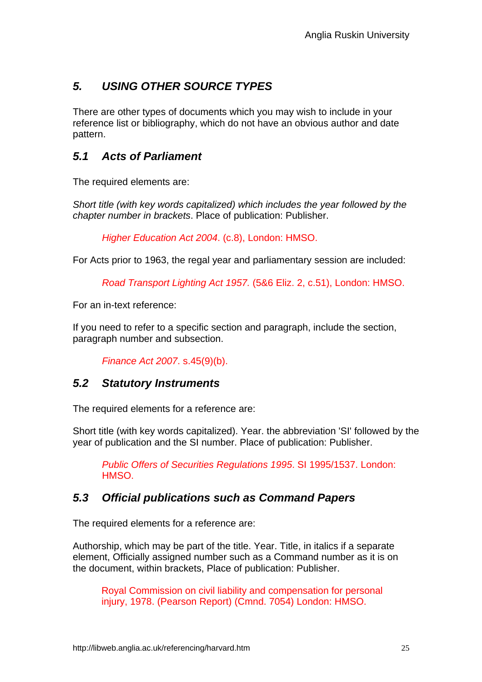# *5. USING OTHER SOURCE TYPES*

There are other types of documents which you may wish to include in your reference list or bibliography, which do not have an obvious author and date pattern.

# *5.1 Acts of Parliament*

The required elements are:

*Short title (with key words capitalized) which includes the year followed by the chapter number in brackets*. Place of publication: Publisher.

*Higher Education Act 2004*. (c.8), London: HMSO.

For Acts prior to 1963, the regal year and parliamentary session are included:

*Road Transport Lighting Act 1957.* (5&6 Eliz. 2, c.51), London: HMSO.

For an in-text reference:

If you need to refer to a specific section and paragraph, include the section, paragraph number and subsection.

*Finance Act 2007*. s.45(9)(b).

#### *5.2 Statutory Instruments*

The required elements for a reference are:

Short title (with key words capitalized). Year. the abbreviation 'SI' followed by the year of publication and the SI number. Place of publication: Publisher.

*Public Offers of Securities Regulations 1995*. SI 1995/1537. London: HMSO.

## *5.3 Official publications such as Command Papers*

The required elements for a reference are:

Authorship, which may be part of the title. Year. Title, in italics if a separate element, Officially assigned number such as a Command number as it is on the document, within brackets, Place of publication: Publisher.

Royal Commission on civil liability and compensation for personal injury, 1978. (Pearson Report) (Cmnd. 7054) London: HMSO.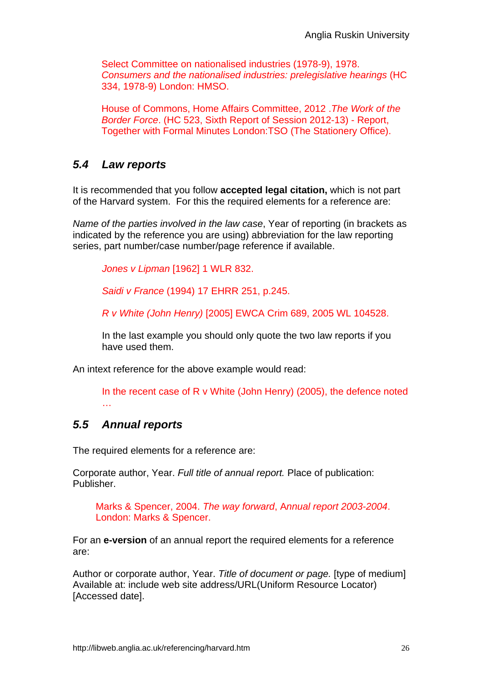Select Committee on nationalised industries (1978-9), 1978. *Consumers and the nationalised industries: prelegislative hearings* (HC 334, 1978-9) London: HMSO.

House of Commons, Home Affairs Committee, 2012 .*The Work of the Border Force*. (HC 523, Sixth Report of Session 2012-13) - Report, Together with Formal Minutes London:TSO (The Stationery Office).

# *5.4 Law reports*

It is recommended that you follow **accepted legal citation,** which is not part of the Harvard system. For this the required elements for a reference are:

*Name of the parties involved in the law case*, Year of reporting (in brackets as indicated by the reference you are using) abbreviation for the law reporting series, part number/case number/page reference if available.

*Jones v Lipman* [1962] 1 WLR 832.

*Saidi v France* (1994) 17 EHRR 251, p.245.

*R v White (John Henry)* [2005] EWCA Crim 689, 2005 WL 104528.

In the last example you should only quote the two law reports if you have used them.

An intext reference for the above example would read:

In the recent case of R v White (John Henry) (2005), the defence noted …

## *5.5 Annual reports*

The required elements for a reference are:

Corporate author, Year. *Full title of annual report.* Place of publication: Publisher.

Marks & Spencer, 2004. *The way forward*, A*nnual report 2003-2004*. London: Marks & Spencer.

For an **e-version** of an annual report the required elements for a reference are:

Author or corporate author, Year. *Title of document or page.* [type of medium] Available at: include web site address/URL(Uniform Resource Locator) [Accessed date].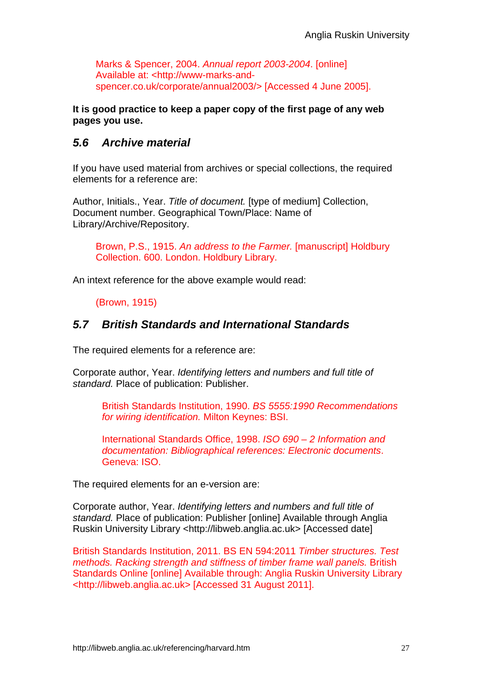Marks & Spencer, 2004. *Annual report 2003-2004*. [online] Available at: <http://www-marks-andspencer.co.uk/corporate/annual2003/> [Accessed 4 June 2005].

**It is good practice to keep a paper copy of the first page of any web pages you use.** 

## *5.6 Archive material*

If you have used material from archives or special collections, the required elements for a reference are:

Author, Initials., Year. *Title of document.* [type of medium] Collection, Document number. Geographical Town/Place: Name of Library/Archive/Repository.

Brown, P.S., 1915. *An address to the Farmer.* [manuscript] Holdbury Collection. 600. London. Holdbury Library.

An intext reference for the above example would read:

(Brown, 1915)

## *5.7 British Standards and International Standards*

The required elements for a reference are:

Corporate author, Year. *Identifying letters and numbers and full title of standard.* Place of publication: Publisher.

British Standards Institution, 1990. *BS 5555:1990 Recommendations for wiring identification.* Milton Keynes: BSI.

International Standards Office, 1998. *ISO 690 – 2 Information and documentation: Bibliographical references: Electronic documents*. Geneva: ISO.

The required elements for an e-version are:

Corporate author, Year. *Identifying letters and numbers and full title of standard.* Place of publication: Publisher [online] Available through Anglia Ruskin University Library <http://libweb.anglia.ac.uk> [Accessed date]

British Standards Institution, 2011. BS EN 594:2011 *Timber structures. Test methods. Racking strength and stiffness of timber frame wall panels.* British Standards Online [online] Available through: Anglia Ruskin University Library <http://libweb.anglia.ac.uk> [Accessed 31 August 2011].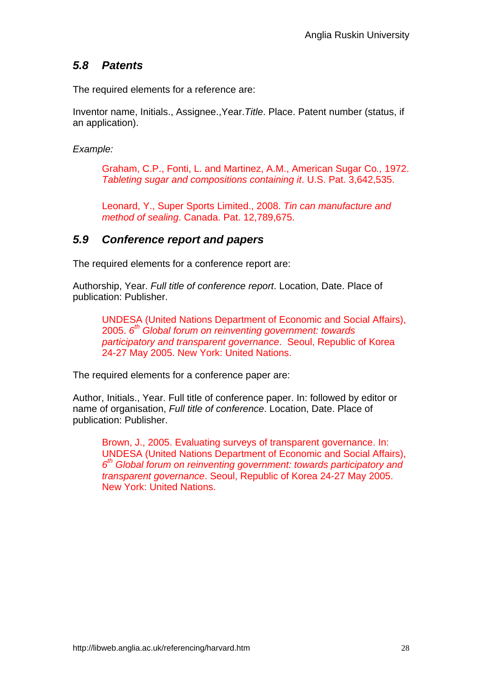# *5.8 Patents*

The required elements for a reference are:

Inventor name, Initials., Assignee.,Year.*Title*. Place. Patent number (status, if an application).

*Example:*

Graham, C.P., Fonti, L. and Martinez, A.M., American Sugar Co*.,* 1972. *Tableting sugar and compositions containing it*. U.S. Pat. 3,642,535.

Leonard, Y., Super Sports Limited., 2008. *Tin can manufacture and method of sealing*. Canada. Pat. 12,789,675.

## *5.9 Conference report and papers*

The required elements for a conference report are:

Authorship, Year. *Full title of conference report*. Location, Date. Place of publication: Publisher.

UNDESA (United Nations Department of Economic and Social Affairs), 2005. *6th Global forum on reinventing government: towards participatory and transparent governance*. Seoul, Republic of Korea 24-27 May 2005. New York: United Nations.

The required elements for a conference paper are:

Author, Initials., Year. Full title of conference paper. In: followed by editor or name of organisation, *Full title of conference*. Location, Date. Place of publication: Publisher.

Brown, J., 2005. Evaluating surveys of transparent governance. In: UNDESA (United Nations Department of Economic and Social Affairs), *6th Global forum on reinventing government: towards participatory and transparent governance*. Seoul, Republic of Korea 24-27 May 2005. New York: United Nations.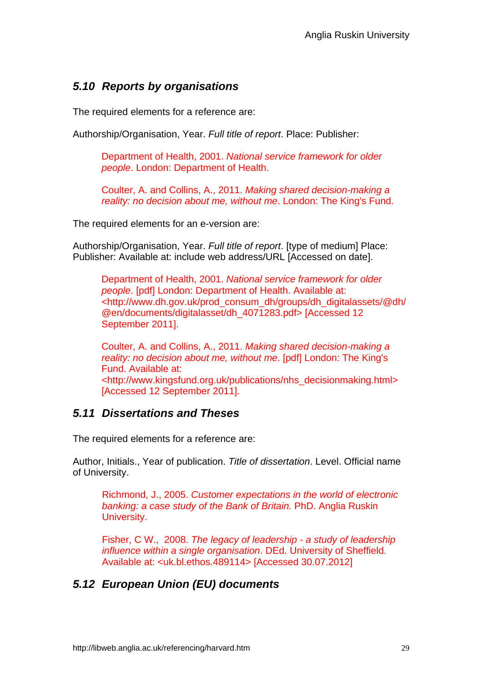# *5.10 Reports by organisations*

The required elements for a reference are:

Authorship/Organisation, Year. *Full title of report*. Place: Publisher:

Department of Health, 2001. *National service framework for older people*. London: Department of Health.

Coulter, A. and Collins, A., 2011. *Making shared decision-making a reality: no decision about me, without me*. London: The King's Fund.

The required elements for an e-version are:

Authorship/Organisation, Year. *Full title of report*. [type of medium] Place: Publisher: Available at: include web address/URL [Accessed on date].

Department of Health, 2001. *National service framework for older people*. [pdf] London: Department of Health. Available at: <http://www.dh.gov.uk/prod\_consum\_dh/groups/dh\_digitalassets/@dh/ @en/documents/digitalasset/dh\_4071283.pdf> [Accessed 12 September 2011].

Coulter, A. and Collins, A., 2011. *Making shared decision-making a reality: no decision about me, without me*. [pdf] London: The King's Fund. Available at: <http://www.kingsfund.org.uk/publications/nhs\_decisionmaking.html> [Accessed 12 September 2011].

#### *5.11 Dissertations and Theses*

The required elements for a reference are:

Author, Initials., Year of publication. *Title of dissertation*. Level. Official name of University.

Richmond, J., 2005. *Customer expectations in the world of electronic banking: a case study of the Bank of Britain.* PhD. Anglia Ruskin University.

Fisher, C W., 2008. *The legacy of leadership - a study of leadership influence within a single organisation*. DEd. University of Sheffield. Available at: <uk.bl.ethos.489114> [Accessed 30.07.2012]

# *5.12 European Union (EU) documents*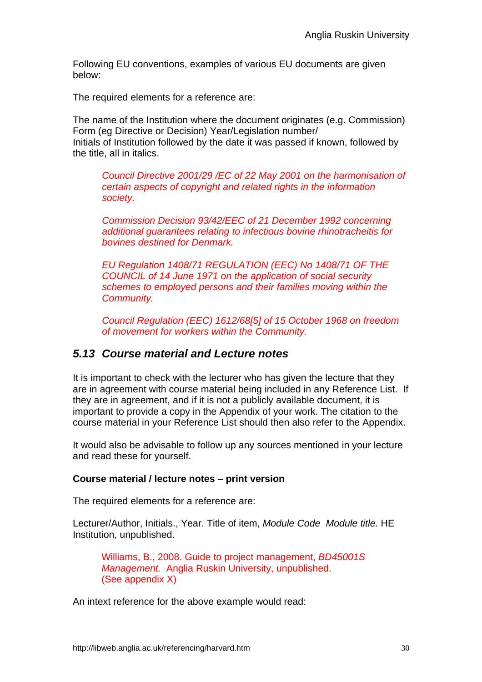Following EU conventions, examples of various EU documents are given below:

The required elements for a reference are:

The name of the Institution where the document originates (e.g. Commission) Form (eg Directive or Decision) Year/Legislation number/ Initials of Institution followed by the date it was passed if known, followed by the title, all in italics.

*Council Directive 2001/29 /EC of 22 May 2001 on the harmonisation of certain aspects of copyright and related rights in the information society.* 

*Commission Decision 93/42/EEC of 21 December 1992 concerning additional guarantees relating to infectious bovine rhinotracheitis for bovines destined for Denmark.* 

*EU Regulation 1408/71 REGULATION (EEC) No 1408/71 OF THE COUNCIL of 14 June 1971 on the application of social security schemes to employed persons and their families moving within the Community.* 

*Council Regulation (EEC) 1612/68[5] of 15 October 1968 on freedom of movement for workers within the Community.* 

#### *5.13 Course material and Lecture notes*

It is important to check with the lecturer who has given the lecture that they are in agreement with course material being included in any Reference List. If they are in agreement, and if it is not a publicly available document, it is important to provide a copy in the Appendix of your work. The citation to the course material in your Reference List should then also refer to the Appendix.

It would also be advisable to follow up any sources mentioned in your lecture and read these for yourself.

#### **Course material / lecture notes – print version**

The required elements for a reference are:

Lecturer/Author, Initials., Year. Title of item, *Module Code Module title.* HE Institution, unpublished.

Williams, B., 2008. Guide to project management, *BD45001S Management.* Anglia Ruskin University, unpublished. (See appendix X)

An intext reference for the above example would read: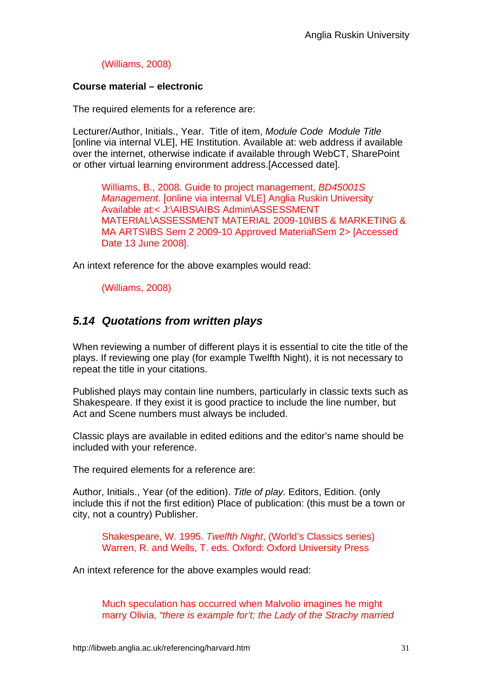#### (Williams, 2008)

#### **Course material – electronic**

The required elements for a reference are:

Lecturer/Author, Initials., Year. Title of item, *Module Code Module Title*  [online via internal VLE], HE Institution. Available at: web address if available over the internet, otherwise indicate if available through WebCT, SharePoint or other virtual learning environment address.[Accessed date].

Williams, B., 2008. Guide to project management, *BD45001S Management*. [online via internal VLE] Anglia Ruskin University Available at:< J:\AIBS\AIBS Admin\ASSESSMENT MATERIAL\ASSESSMENT MATERIAL 2009-10\IBS & MARKETING & MA ARTS\IBS Sem 2 2009-10 Approved Material\Sem 2> [Accessed Date 13 June 2008].

An intext reference for the above examples would read:

(Williams, 2008)

# *5.14 Quotations from written plays*

When reviewing a number of different plays it is essential to cite the title of the plays. If reviewing one play (for example Twelfth Night), it is not necessary to repeat the title in your citations.

Published plays may contain line numbers, particularly in classic texts such as Shakespeare. If they exist it is good practice to include the line number, but Act and Scene numbers must always be included.

Classic plays are available in edited editions and the editor's name should be included with your reference.

The required elements for a reference are:

Author, Initials., Year (of the edition). *Title of play.* Editors, Edition. (only include this if not the first edition) Place of publication: (this must be a town or city, not a country) Publisher.

Shakespeare, W. 1995. *Twelfth Night*, (World's Classics series) Warren, R. and Wells, T. eds. Oxford: Oxford University Press

An intext reference for the above examples would read:

Much speculation has occurred when Malvolio imagines he might marry Olivia, *"there is example for't; the Lady of the Strachy married*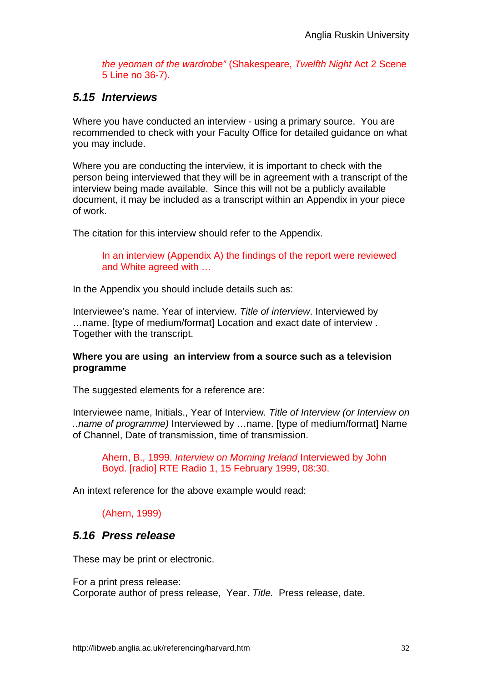*the yeoman of the wardrobe"* (Shakespeare, *Twelfth Night* Act 2 Scene 5 Line no 36-7).

#### *5.15 Interviews*

Where you have conducted an interview - using a primary source. You are recommended to check with your Faculty Office for detailed guidance on what you may include.

Where you are conducting the interview, it is important to check with the person being interviewed that they will be in agreement with a transcript of the interview being made available. Since this will not be a publicly available document, it may be included as a transcript within an Appendix in your piece of work.

The citation for this interview should refer to the Appendix.

In an interview (Appendix A) the findings of the report were reviewed and White agreed with …

In the Appendix you should include details such as:

Interviewee's name. Year of interview. *Title of interview*. Interviewed by …name. [type of medium/format] Location and exact date of interview . Together with the transcript.

#### **Where you are using an interview from a source such as a television programme**

The suggested elements for a reference are:

Interviewee name, Initials., Year of Interview*. Title of Interview (or Interview on ..name of programme)* Interviewed by …name. [type of medium/format] Name of Channel, Date of transmission, time of transmission.

Ahern, B., 1999. *Interview on Morning Ireland* Interviewed by John Boyd. [radio] RTE Radio 1, 15 February 1999, 08:30.

An intext reference for the above example would read:

#### (Ahern, 1999)

#### *5.16 Press release*

These may be print or electronic.

For a print press release:

Corporate author of press release, Year. *Title.* Press release, date.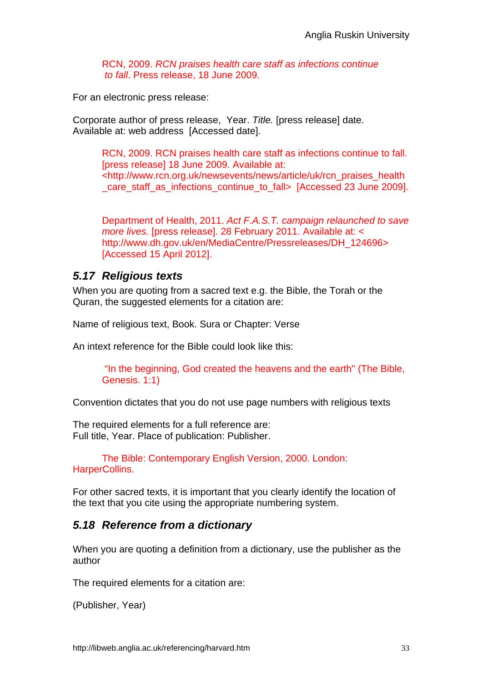RCN, 2009. *RCN praises health care staff as infections continue to fall*. Press release, 18 June 2009.

For an electronic press release:

Corporate author of press release, Year. *Title.* [press release] date. Available at: web address [Accessed date].

RCN, 2009. RCN praises health care staff as infections continue to fall. [press release] 18 June 2009. Available at: <http://www.rcn.org.uk/newsevents/news/article/uk/rcn\_praises\_health care\_staff\_as\_infections\_continue\_to\_fall> [Accessed 23 June 2009].

Department of Health, 2011. *Act F.A.S.T. campaign relaunched to save more lives.* [press release]. 28 February 2011. Available at: < http://www.dh.gov.uk/en/MediaCentre/Pressreleases/DH\_124696> [Accessed 15 April 2012].

#### *5.17 Religious texts*

When you are quoting from a sacred text e.g. the Bible, the Torah or the Quran, the suggested elements for a citation are:

Name of religious text, Book. Sura or Chapter: Verse

An intext reference for the Bible could look like this:

 "In the beginning, God created the heavens and the earth" (The Bible, Genesis. 1:1)

Convention dictates that you do not use page numbers with religious texts

The required elements for a full reference are: Full title, Year. Place of publication: Publisher.

The Bible: Contemporary English Version, 2000. London: HarperCollins.

For other sacred texts, it is important that you clearly identify the location of the text that you cite using the appropriate numbering system.

#### *5.18 Reference from a dictionary*

When you are quoting a definition from a dictionary, use the publisher as the author

The required elements for a citation are:

(Publisher, Year)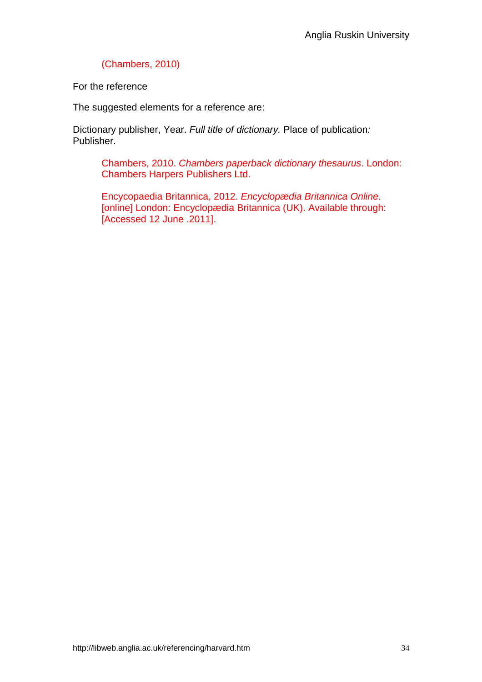#### (Chambers, 2010)

For the reference

The suggested elements for a reference are:

Dictionary publisher, Year. *Full title of dictionary.* Place of publication*:*  Publisher.

Chambers, 2010. *Chambers paperback dictionary thesaurus*. London: Chambers Harpers Publishers Ltd.

Encycopaedia Britannica, 2012. *Encyclopædia Britannica Online*. [online] London: Encyclopædia Britannica (UK). Available through: [Accessed 12 June .2011].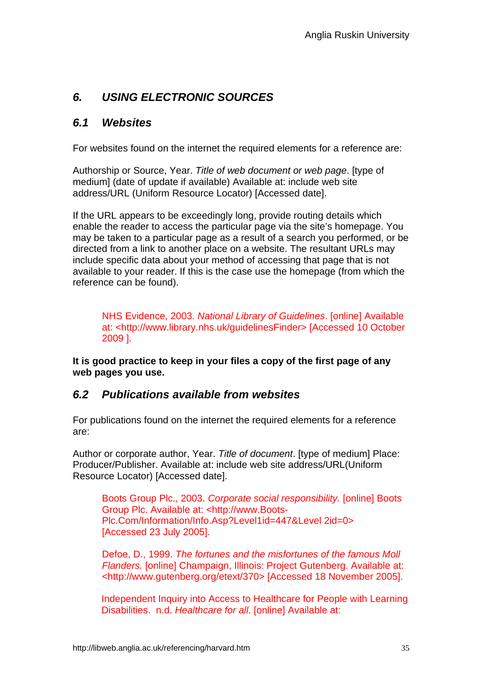# *6. USING ELECTRONIC SOURCES*

#### *6.1 Websites*

For websites found on the internet the required elements for a reference are:

Authorship or Source, Year. *Title of web document or web page*. [type of medium] (date of update if available) Available at: include web site address/URL (Uniform Resource Locator) [Accessed date].

If the URL appears to be exceedingly long, provide routing details which enable the reader to access the particular page via the site's homepage. You may be taken to a particular page as a result of a search you performed, or be directed from a link to another place on a website. The resultant URLs may include specific data about your method of accessing that page that is not available to your reader. If this is the case use the homepage (from which the reference can be found).

NHS Evidence, 2003. *National Library of Guidelines*. [online] Available at: <http://www.library.nhs.uk/guidelinesFinder> [Accessed 10 October 2009 ].

**It is good practice to keep in your files a copy of the first page of any web pages you use.** 

#### *6.2 Publications available from websites*

For publications found on the internet the required elements for a reference are:

Author or corporate author, Year. *Title of document*. [type of medium] Place: Producer/Publisher. Available at: include web site address/URL(Uniform Resource Locator) [Accessed date].

Boots Group Plc., 2003. *Corporate social responsibility.* [online] Boots Group Plc. Available at: <http://www.Boots-Plc.Com/Information/Info.Asp?Level1id=447&Level 2id=0> [Accessed 23 July 2005].

Defoe, D., 1999. *The fortunes and the misfortunes of the famous Moll Flanders.* [online] Champaign, Illinois: Project Gutenberg. Available at: <http://www.gutenberg.org/etext/370> [Accessed 18 November 2005].

Independent Inquiry into Access to Healthcare for People with Learning Disabilities. n.d. *Healthcare for all*. [online] Available at: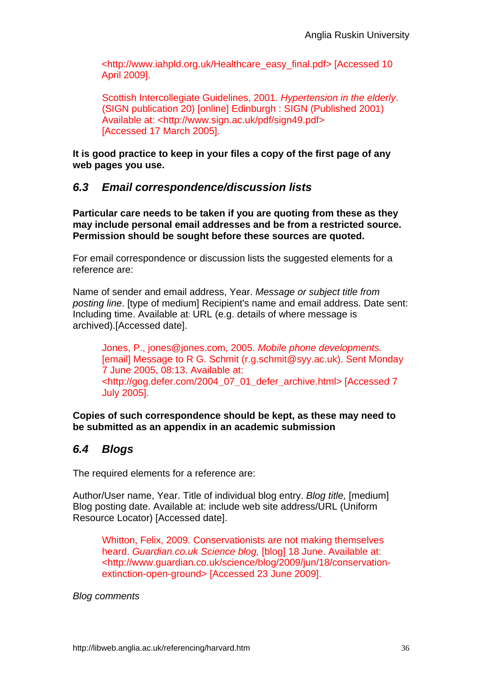<http://www.iahpld.org.uk/Healthcare\_easy\_final.pdf> [Accessed 10 April 2009].

Scottish Intercollegiate Guidelines, 2001. *Hypertension in the elderly*. (SIGN publication 20) [online] Edinburgh : SIGN (Published 2001) Available at: <http://www.sign.ac.uk/pdf/sign49.pdf> [Accessed 17 March 2005].

**It is good practice to keep in your files a copy of the first page of any web pages you use.** 

#### *6.3 Email correspondence/discussion lists*

**Particular care needs to be taken if you are quoting from these as they may include personal email addresses and be from a restricted source. Permission should be sought before these sources are quoted.** 

For email correspondence or discussion lists the suggested elements for a reference are:

Name of sender and email address, Year. *Message or subject title from posting line*. [type of medium] Recipient's name and email address. Date sent: Including time. Available at: URL (e.g. details of where message is archived).[Accessed date].

Jones, P., jones@jones.com, 2005. *Mobile phone developments.* [email] Message to R G. Schmit (r.g.schmit@syy.ac.uk). Sent Monday 7 June 2005, 08:13. Available at: <http://gog.defer.com/2004**\_**07**\_**01**\_**defer**\_**archive.html> [Accessed 7 July 2005].

**Copies of such correspondence should be kept, as these may need to be submitted as an appendix in an academic submission** 

## *6.4 Blogs*

The required elements for a reference are:

Author/User name, Year. Title of individual blog entry. *Blog title,* [medium] Blog posting date. Available at: include web site address/URL (Uniform Resource Locator) [Accessed date].

Whitton, Felix, 2009. Conservationists are not making themselves heard. *Guardian.co.uk Science blog,* [blog] 18 June. Available at: <http://www.guardian.co.uk/science/blog/2009/jun/18/conservationextinction-open-ground> [Accessed 23 June 2009].

*Blog comments*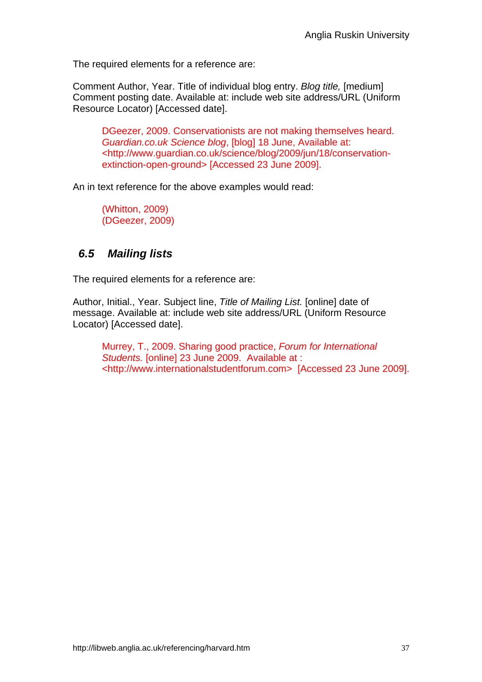The required elements for a reference are:

Comment Author, Year. Title of individual blog entry. *Blog title,* [medium] Comment posting date. Available at: include web site address/URL (Uniform Resource Locator) [Accessed date].

DGeezer, 2009. Conservationists are not making themselves heard. *Guardian.co.uk Science blog*, [blog] 18 June, Available at: <http://www.guardian.co.uk/science/blog/2009/jun/18/conservationextinction-open-ground> [Accessed 23 June 2009].

An in text reference for the above examples would read:

(Whitton, 2009) (DGeezer, 2009)

## *6.5 Mailing lists*

The required elements for a reference are:

Author, Initial., Year. Subject line, *Title of Mailing List.* [online] date of message. Available at: include web site address/URL (Uniform Resource Locator) [Accessed date].

Murrey, T., 2009. Sharing good practice, *Forum for International Students.* [online] 23 June 2009. Available at : <http://www.internationalstudentforum.com> [Accessed 23 June 2009].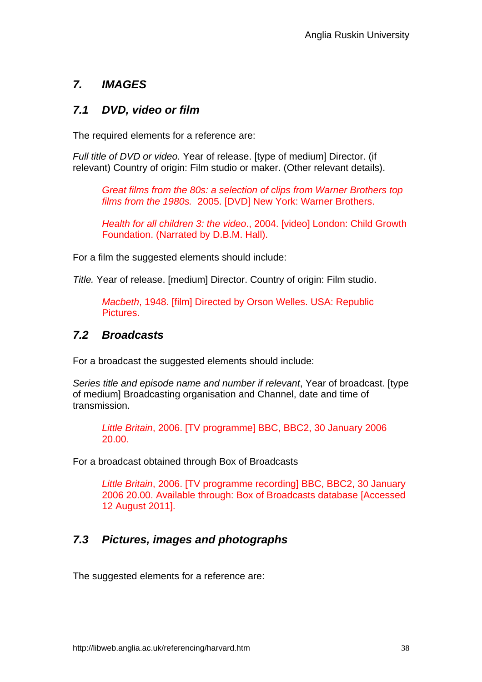# *7. IMAGES*

#### *7.1 DVD, video or film*

The required elements for a reference are:

*Full title of DVD or video.* Year of release. [type of medium] Director. (if relevant) Country of origin: Film studio or maker. (Other relevant details).

*Great films from the 80s: a selection of clips from Warner Brothers top films from the 1980s.* 2005. [DVD] New York: Warner Brothers.

*Health for all children 3: the video*., 2004. [video] London: Child Growth Foundation. (Narrated by D.B.M. Hall).

For a film the suggested elements should include:

*Title.* Year of release. [medium] Director. Country of origin: Film studio.

*Macbeth*, 1948. [film] Directed by Orson Welles. USA: Republic Pictures.

#### *7.2 Broadcasts*

For a broadcast the suggested elements should include:

*Series title and episode name and number if relevant*, Year of broadcast. [type of medium] Broadcasting organisation and Channel, date and time of transmission.

*Little Britain*, 2006. [TV programme] BBC, BBC2, 30 January 2006 20.00.

For a broadcast obtained through Box of Broadcasts

*Little Britain*, 2006. [TV programme recording] BBC, BBC2, 30 January 2006 20.00. Available through: Box of Broadcasts database [Accessed 12 August 2011].

# *7.3 Pictures, images and photographs*

The suggested elements for a reference are: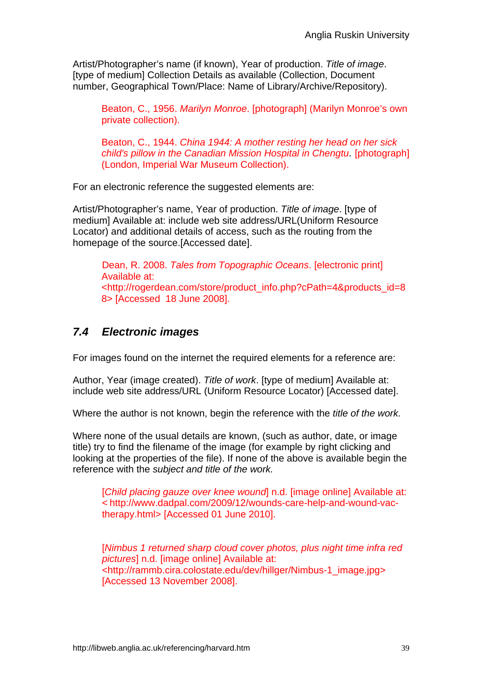Artist/Photographer's name (if known), Year of production. *Title of image*. [type of medium] Collection Details as available (Collection, Document number, Geographical Town/Place: Name of Library/Archive/Repository).

Beaton, C., 1956. *Marilyn Monroe*. [photograph] (Marilyn Monroe's own private collection).

Beaton, C., 1944. *China 1944: A mother resting her head on her sick child's pillow in the Canadian Mission Hospital in Chengtu*. [photograph] (London, Imperial War Museum Collection).

For an electronic reference the suggested elements are:

Artist/Photographer's name, Year of production. *Title of image*. [type of medium] Available at: include web site address/URL(Uniform Resource Locator) and additional details of access, such as the routing from the homepage of the source.[Accessed date].

 Dean, R. 2008. *Tales from Topographic Oceans*. [electronic print] Available at: <http://rogerdean.com/store/product\_info.php?cPath=4&products\_id=8 8> [Accessed 18 June 2008].

# *7.4 Electronic images*

For images found on the internet the required elements for a reference are:

Author, Year (image created). *Title of work*. [type of medium] Available at: include web site address/URL (Uniform Resource Locator) [Accessed date].

Where the author is not known, begin the reference with the *title of the work.* 

Where none of the usual details are known, (such as author, date, or image title) try to find the filename of the image (for example by right clicking and looking at the properties of the file). If none of the above is available begin the reference with the *subject and title of the work.*

[*Child placing gauze over knee wound*] n.d. [image online] Available at: < http://www.dadpal.com/2009/12/wounds-care-help-and-wound-vactherapy.html> [Accessed 01 June 2010].

[*Nimbus 1 returned sharp cloud cover photos, plus night time infra red pictures*] n.d. [image online] Available at: <http://rammb.cira.colostate.edu/dev/hillger/Nimbus-1\_image.jpg> [Accessed 13 November 2008].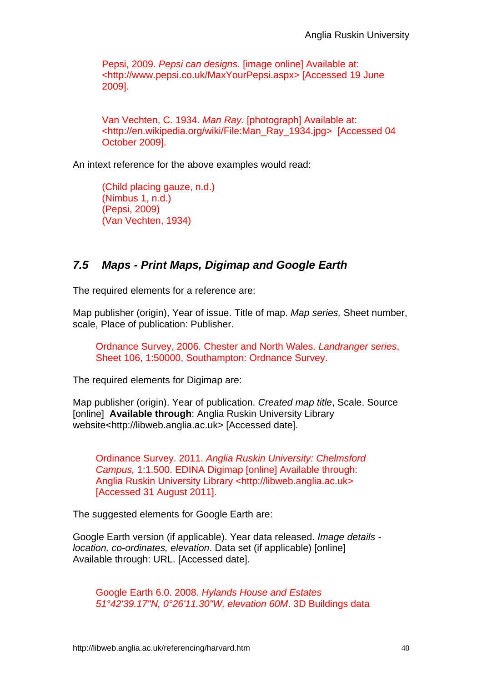Pepsi, 2009. *Pepsi can designs.* [image online] Available at: <http://www.pepsi.co.uk/MaxYourPepsi.aspx> [Accessed 19 June 2009].

Van Vechten, C. 1934. *Man Ray.* [photograph] Available at: <http://en.wikipedia.org/wiki/File:Man\_Ray\_1934.jpg> [Accessed 04 October 2009].

An intext reference for the above examples would read:

(Child placing gauze, n.d.) (Nimbus 1, n.d.) (Pepsi, 2009) (Van Vechten, 1934)

## *7.5 Maps - Print Maps, Digimap and Google Earth*

The required elements for a reference are:

Map publisher (origin), Year of issue. Title of map. *Map series,* Sheet number, scale, Place of publication: Publisher.

Ordnance Survey, 2006. Chester and North Wales. *Landranger series*, Sheet 106, 1:50000, Southampton: Ordnance Survey.

The required elements for Digimap are:

Map publisher (origin). Year of publication. *Created map title*, Scale. Source [online] **Available through**: Anglia Ruskin University Library website<http://libweb.anglia.ac.uk> [Accessed date].

Ordinance Survey. 2011. *Anglia Ruskin University: Chelmsford Campus,* 1:1.500. EDINA Digimap [online] Available through: Anglia Ruskin University Library <http://libweb.anglia.ac.uk> [Accessed 31 August 2011].

The suggested elements for Google Earth are:

Google Earth version (if applicable). Year data released. *Image details location, co-ordinates, elevation*. Data set (if applicable) [online] Available through: URL. [Accessed date].

Google Earth 6.0. 2008. *Hylands House and Estates 51°42'39.17"N, 0°26'11.30"W, elevation 60M*. 3D Buildings data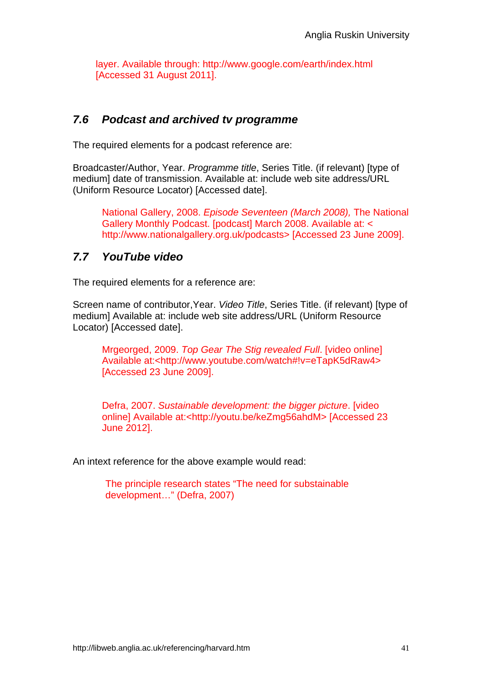layer. Available through: http://www.google.com/earth/index.html [Accessed 31 August 2011].

## *7.6 Podcast and archived tv programme*

The required elements for a podcast reference are:

Broadcaster/Author, Year. *Programme title*, Series Title. (if relevant) [type of medium] date of transmission. Available at: include web site address/URL (Uniform Resource Locator) [Accessed date].

National Gallery, 2008. *Episode Seventeen (March 2008),* The National Gallery Monthly Podcast. [podcast] March 2008. Available at: < http://www.nationalgallery.org.uk/podcasts> [Accessed 23 June 2009].

## *7.7 YouTube video*

The required elements for a reference are:

Screen name of contributor,Year. *Video Title*, Series Title. (if relevant) [type of medium] Available at: include web site address/URL (Uniform Resource Locator) [Accessed date].

Mrgeorged, 2009. *Top Gear The Stig revealed Full*. [video online] Available at:<http://www.youtube.com/watch#!v=eTapK5dRaw4> [Accessed 23 June 2009].

Defra, 2007. *Sustainable development: the bigger picture*. [video online] Available at:<http://youtu.be/keZmg56ahdM> [Accessed 23 June 2012].

An intext reference for the above example would read:

 The principle research states "The need for substainable development…" (Defra, 2007)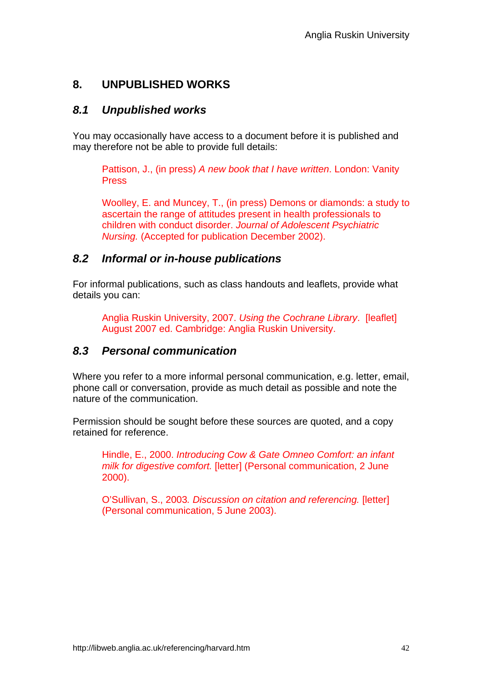# **8. UNPUBLISHED WORKS**

## *8.1 Unpublished works*

You may occasionally have access to a document before it is published and may therefore not be able to provide full details:

Pattison, J., (in press) *A new book that I have written*. London: Vanity Press

Woolley, E. and Muncey, T., (in press) Demons or diamonds: a study to ascertain the range of attitudes present in health professionals to children with conduct disorder. *Journal of Adolescent Psychiatric Nursing.* (Accepted for publication December 2002).

## *8.2 Informal or in-house publications*

For informal publications, such as class handouts and leaflets, provide what details you can:

Anglia Ruskin University, 2007. *Using the Cochrane Library*. [leaflet] August 2007 ed. Cambridge: Anglia Ruskin University.

## *8.3 Personal communication*

Where you refer to a more informal personal communication, e.g. letter, email, phone call or conversation, provide as much detail as possible and note the nature of the communication.

Permission should be sought before these sources are quoted, and a copy retained for reference.

Hindle, E., 2000. *Introducing Cow & Gate Omneo Comfort: an infant milk for digestive comfort.* [letter] (Personal communication, 2 June 2000).

O'Sullivan, S., 2003*. Discussion on citation and referencing.* [letter] (Personal communication, 5 June 2003).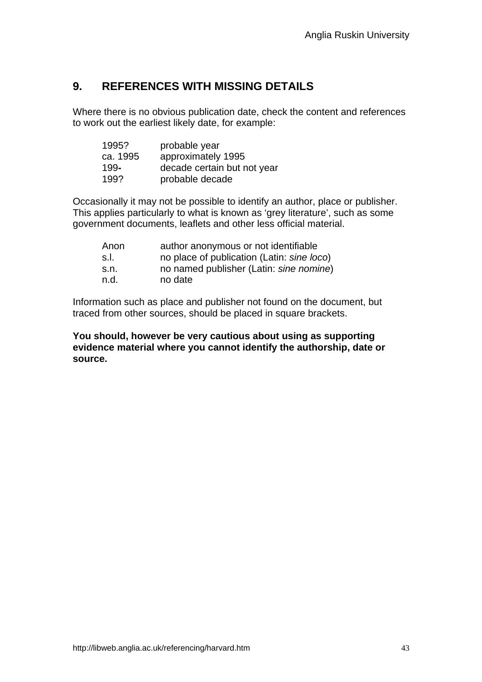# **9. REFERENCES WITH MISSING DETAILS**

Where there is no obvious publication date, check the content and references to work out the earliest likely date, for example:

| 1995?    | probable year               |
|----------|-----------------------------|
| ca. 1995 | approximately 1995          |
| 199-     | decade certain but not year |
| 199?     | probable decade             |

Occasionally it may not be possible to identify an author, place or publisher. This applies particularly to what is known as 'grey literature', such as some government documents, leaflets and other less official material.

| Anon | author anonymous or not identifiable       |
|------|--------------------------------------------|
| s.l. | no place of publication (Latin: sine loco) |
| s.n. | no named publisher (Latin: sine nomine)    |
| n.d. | no date                                    |

Information such as place and publisher not found on the document, but traced from other sources, should be placed in square brackets.

**You should, however be very cautious about using as supporting evidence material where you cannot identify the authorship, date or source.**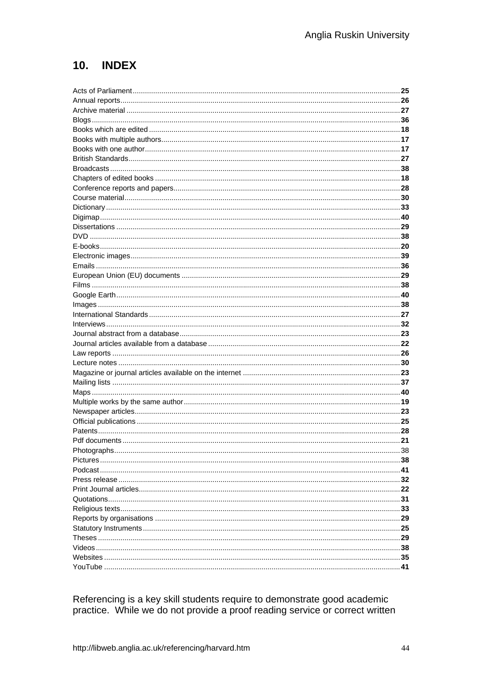# 10. INDEX

| .38 |
|-----|
|     |
|     |
|     |
|     |
|     |
|     |
|     |
|     |
|     |
|     |
|     |
|     |

Referencing is a key skill students require to demonstrate good academic practice. While we do not provide a proof reading service or correct written